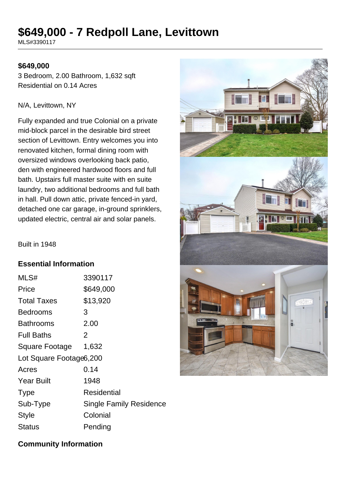# **\$649,000 - 7 Redpoll Lane, Levittown**

MLS#3390117

#### **\$649,000**

3 Bedroom, 2.00 Bathroom, 1,632 sqft Residential on 0.14 Acres

#### N/A, Levittown, NY

Fully expanded and true Colonial on a private mid-block parcel in the desirable bird street section of Levittown. Entry welcomes you into renovated kitchen, formal dining room with oversized windows overlooking back patio, den with engineered hardwood floors and full bath. Upstairs full master suite with en suite laundry, two additional bedrooms and full bath in hall. Pull down attic, private fenced-in yard, detached one car garage, in-ground sprinklers, updated electric, central air and solar panels.



#### Built in 1948

#### **Essential Information**

| MLS#                    | 3390117                        |
|-------------------------|--------------------------------|
| Price                   | \$649,000                      |
| <b>Total Taxes</b>      | \$13,920                       |
| <b>Bedrooms</b>         | 3                              |
| <b>Bathrooms</b>        | 2.00                           |
| <b>Full Baths</b>       | 2                              |
| Square Footage          | 1,632                          |
| Lot Square Footage6,200 |                                |
| Acres                   | 0.14                           |
| <b>Year Built</b>       | 1948                           |
| <b>Type</b>             | Residential                    |
| Sub-Type                | <b>Single Family Residence</b> |
| <b>Style</b>            | Colonial                       |
| <b>Status</b>           | Pending                        |

# **Community Information**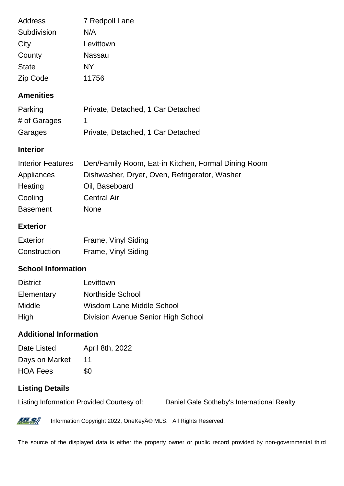| Address      | 7 Redpoll Lane |
|--------------|----------------|
| Subdivision  | N/A            |
| City         | Levittown      |
| County       | Nassau         |
| <b>State</b> | NΥ             |
| Zip Code     | 11756          |

## **Amenities**

| Parking      | Private, Detached, 1 Car Detached |
|--------------|-----------------------------------|
| # of Garages |                                   |
| Garages      | Private, Detached, 1 Car Detached |

# **Interior**

| <b>Interior Features</b> | Den/Family Room, Eat-in Kitchen, Formal Dining Room |
|--------------------------|-----------------------------------------------------|
| Appliances               | Dishwasher, Dryer, Oven, Refrigerator, Washer       |
| Heating                  | Oil, Baseboard                                      |
| Cooling                  | <b>Central Air</b>                                  |
| <b>Basement</b>          | <b>None</b>                                         |

# **Exterior**

| Exterior     | Frame, Vinyl Siding |
|--------------|---------------------|
| Construction | Frame, Vinyl Siding |

## **School Information**

| <b>District</b> | Levittown                          |
|-----------------|------------------------------------|
| Elementary      | Northside School                   |
| Middle          | Wisdom Lane Middle School          |
| High            | Division Avenue Senior High School |

# **Additional Information**

| Date Listed     | April 8th, 2022 |
|-----------------|-----------------|
| Days on Market  | 11              |
| <b>HOA Fees</b> | \$0             |

## **Listing Details**

Listing Information Provided Courtesy of: Daniel Gale Sotheby's International Realty



Information Copyright 2022, OneKey® MLS. All Rights Reserved.

The source of the displayed data is either the property owner or public record provided by non-governmental third